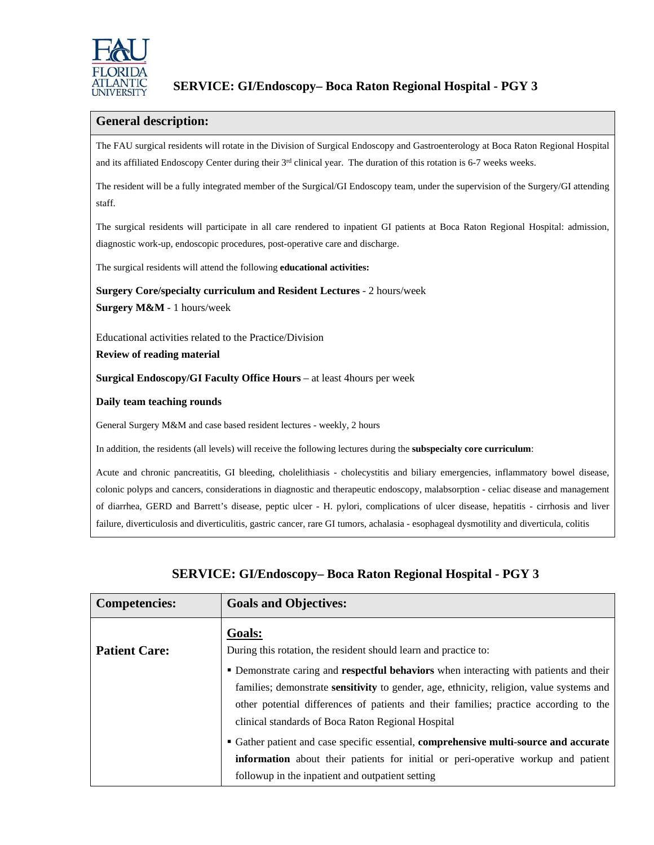

## **General description:**

The FAU surgical residents will rotate in the Division of Surgical Endoscopy and Gastroenterology at Boca Raton Regional Hospital and its affiliated Endoscopy Center during their 3<sup>rd</sup> clinical year. The duration of this rotation is 6-7 weeks weeks.

The resident will be a fully integrated member of the Surgical/GI Endoscopy team, under the supervision of the Surgery/GI attending staff.

The surgical residents will participate in all care rendered to inpatient GI patients at Boca Raton Regional Hospital: admission, diagnostic work-up, endoscopic procedures, post-operative care and discharge.

The surgical residents will attend the following **educational activities:**

**Surgery Core/specialty curriculum and Resident Lectures** - 2 hours/week **Surgery M&M** - 1 hours/week

Educational activities related to the Practice/Division

**Review of reading material**

**Surgical Endoscopy/GI Faculty Office Hours** – at least 4hours per week

**Daily team teaching rounds**

General Surgery M&M and case based resident lectures - weekly, 2 hours

In addition, the residents (all levels) will receive the following lectures during the **subspecialty core curriculum**:

Acute and chronic pancreatitis, GI bleeding, cholelithiasis - cholecystitis and biliary emergencies, inflammatory bowel disease, colonic polyps and cancers, considerations in diagnostic and therapeutic endoscopy, malabsorption - celiac disease and management of diarrhea, GERD and Barrett's disease, peptic ulcer - H. pylori, complications of ulcer disease, hepatitis - cirrhosis and liver failure, diverticulosis and diverticulitis, gastric cancer, rare GI tumors, achalasia - esophageal dysmotility and diverticula, colitis

| <b>Competencies:</b> | <b>Goals and Objectives:</b>                                                                                                                                                                                                                   |
|----------------------|------------------------------------------------------------------------------------------------------------------------------------------------------------------------------------------------------------------------------------------------|
| <b>Patient Care:</b> | <b>Goals:</b><br>During this rotation, the resident should learn and practice to:<br>• Demonstrate caring and respectful behaviors when interacting with patients and their                                                                    |
|                      | families; demonstrate <b>sensitivity</b> to gender, age, ethnicity, religion, value systems and<br>other potential differences of patients and their families; practice according to the<br>clinical standards of Boca Raton Regional Hospital |
|                      | • Gather patient and case specific essential, comprehensive multi-source and accurate<br>information about their patients for initial or peri-operative workup and patient                                                                     |
|                      | followup in the inpatient and outpatient setting                                                                                                                                                                                               |

# **SERVICE: GI/Endoscopy– Boca Raton Regional Hospital - PGY 3**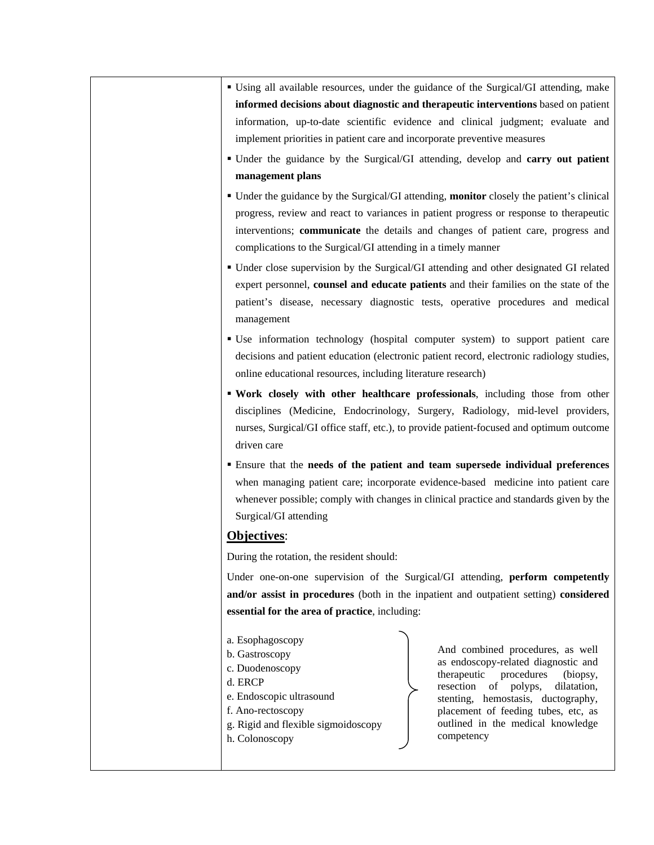- Using all available resources, under the guidance of the Surgical/GI attending, make **informed decisions about diagnostic and therapeutic interventions** based on patient information, up-to-date scientific evidence and clinical judgment; evaluate and implement priorities in patient care and incorporate preventive measures
- Under the guidance by the Surgical/GI attending, develop and **carry out patient management plans**
- Under the guidance by the Surgical/GI attending, **monitor** closely the patient's clinical progress, review and react to variances in patient progress or response to therapeutic interventions; **communicate** the details and changes of patient care, progress and complications to the Surgical/GI attending in a timely manner
- Under close supervision by the Surgical/GI attending and other designated GI related expert personnel, **counsel and educate patients** and their families on the state of the patient's disease, necessary diagnostic tests, operative procedures and medical management
- Use information technology (hospital computer system) to support patient care decisions and patient education (electronic patient record, electronic radiology studies, online educational resources, including literature research)
- **Work closely with other healthcare professionals**, including those from other disciplines (Medicine, Endocrinology, Surgery, Radiology, mid-level providers, nurses, Surgical/GI office staff, etc.), to provide patient-focused and optimum outcome driven care
- Ensure that the **needs of the patient and team supersede individual preferences** when managing patient care; incorporate evidence-based medicine into patient care whenever possible; comply with changes in clinical practice and standards given by the Surgical/GI attending

## **Objectives**:

During the rotation, the resident should:

Under one-on-one supervision of the Surgical/GI attending, **perform competently and/or assist in procedures** (both in the inpatient and outpatient setting) **considered essential for the area of practice**, including:

- a. Esophagoscopy b. Gastroscopy c. Duodenoscopy d. ERCP
- e. Endoscopic ultrasound
- f. Ano-rectoscopy
- g. Rigid and flexible sigmoidoscopy
- h. Colonoscopy

And combined procedures, as well as endoscopy-related diagnostic and therapeutic procedures (biopsy, resection of polyps, dilatation, stenting, hemostasis, ductography, placement of feeding tubes, etc, as outlined in the medical knowledge competency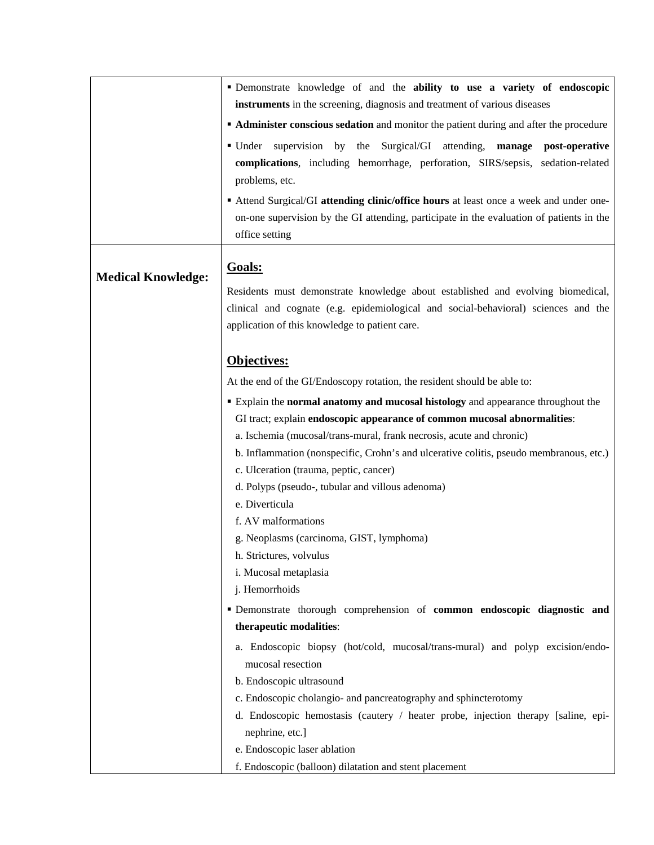|                           | · Demonstrate knowledge of and the ability to use a variety of endoscopic                                                                                                                                               |
|---------------------------|-------------------------------------------------------------------------------------------------------------------------------------------------------------------------------------------------------------------------|
|                           | instruments in the screening, diagnosis and treatment of various diseases                                                                                                                                               |
|                           | <b>Administer conscious sedation</b> and monitor the patient during and after the procedure                                                                                                                             |
|                           | by the Surgical/GI attending,<br>■ Under<br>supervision<br>manage<br>post-operative<br>complications, including hemorrhage, perforation, SIRS/sepsis, sedation-related<br>problems, etc.                                |
|                           | Attend Surgical/GI attending clinic/office hours at least once a week and under one-<br>on-one supervision by the GI attending, participate in the evaluation of patients in the<br>office setting                      |
| <b>Medical Knowledge:</b> | Goals:                                                                                                                                                                                                                  |
|                           | Residents must demonstrate knowledge about established and evolving biomedical,<br>clinical and cognate (e.g. epidemiological and social-behavioral) sciences and the<br>application of this knowledge to patient care. |
|                           | Objectives:                                                                                                                                                                                                             |
|                           | At the end of the GI/Endoscopy rotation, the resident should be able to:                                                                                                                                                |
|                           | Explain the normal anatomy and mucosal histology and appearance throughout the                                                                                                                                          |
|                           | GI tract; explain endoscopic appearance of common mucosal abnormalities:                                                                                                                                                |
|                           | a. Ischemia (mucosal/trans-mural, frank necrosis, acute and chronic)                                                                                                                                                    |
|                           | b. Inflammation (nonspecific, Crohn's and ulcerative colitis, pseudo membranous, etc.)                                                                                                                                  |
|                           | c. Ulceration (trauma, peptic, cancer)                                                                                                                                                                                  |
|                           | d. Polyps (pseudo-, tubular and villous adenoma)                                                                                                                                                                        |
|                           | e. Diverticula                                                                                                                                                                                                          |
|                           | f. AV malformations                                                                                                                                                                                                     |
|                           | g. Neoplasms (carcinoma, GIST, lymphoma)                                                                                                                                                                                |
|                           | h. Strictures, volvulus                                                                                                                                                                                                 |
|                           | i. Mucosal metaplasia                                                                                                                                                                                                   |
|                           | j. Hemorrhoids                                                                                                                                                                                                          |
|                           | " Demonstrate thorough comprehension of common endoscopic diagnostic and                                                                                                                                                |
|                           | therapeutic modalities:                                                                                                                                                                                                 |
|                           | a. Endoscopic biopsy (hot/cold, mucosal/trans-mural) and polyp excision/endo-<br>mucosal resection                                                                                                                      |
|                           | b. Endoscopic ultrasound                                                                                                                                                                                                |
|                           | c. Endoscopic cholangio- and pancreatography and sphincterotomy                                                                                                                                                         |
|                           | d. Endoscopic hemostasis (cautery / heater probe, injection therapy [saline, epi-<br>nephrine, etc.]                                                                                                                    |
|                           | e. Endoscopic laser ablation                                                                                                                                                                                            |
|                           | f. Endoscopic (balloon) dilatation and stent placement                                                                                                                                                                  |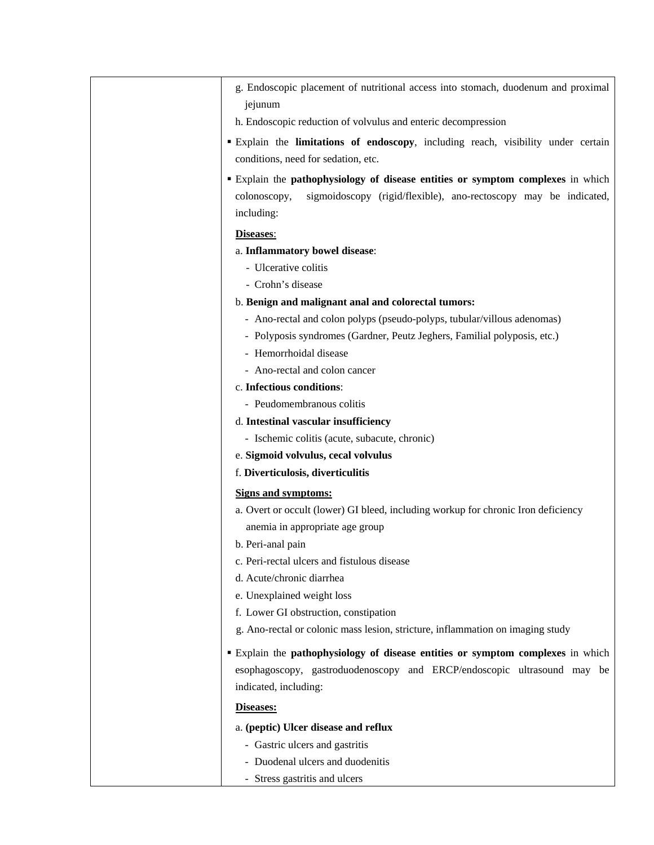- g. Endoscopic placement of nutritional access into stomach, duodenum and proximal jejunum
- h. Endoscopic reduction of volvulus and enteric decompression
- Explain the **limitations of endoscopy**, including reach, visibility under certain conditions, need for sedation, etc.
- Explain the **pathophysiology of disease entities or symptom complexes** in which colonoscopy, sigmoidoscopy (rigid/flexible), ano-rectoscopy may be indicated, including:

#### **Diseases**:

- a. **Inflammatory bowel disease**:
	- Ulcerative colitis
	- Crohn's disease
- b. **Benign and malignant anal and colorectal tumors:**
	- Ano-rectal and colon polyps (pseudo-polyps, tubular/villous adenomas)
	- Polyposis syndromes (Gardner, Peutz Jeghers, Familial polyposis, etc.)
	- Hemorrhoidal disease
	- Ano-rectal and colon cancer

### c. **Infectious conditions**:

- Peudomembranous colitis

#### d. **Intestinal vascular insufficiency**

- Ischemic colitis (acute, subacute, chronic)
- e. **Sigmoid volvulus, cecal volvulus**

#### f. **Diverticulosis, diverticulitis**

### **Signs and symptoms:**

- a. Overt or occult (lower) GI bleed, including workup for chronic Iron deficiency anemia in appropriate age group
- b. Peri-anal pain
- c. Peri-rectal ulcers and fistulous disease
- d. Acute/chronic diarrhea
- e. Unexplained weight loss
- f. Lower GI obstruction, constipation
- g. Ano-rectal or colonic mass lesion, stricture, inflammation on imaging study
- Explain the **pathophysiology of disease entities or symptom complexes** in which esophagoscopy, gastroduodenoscopy and ERCP/endoscopic ultrasound may be indicated, including:

#### **Diseases:**

- a. **(peptic) Ulcer disease and reflux**
	- Gastric ulcers and gastritis
	- Duodenal ulcers and duodenitis
	- Stress gastritis and ulcers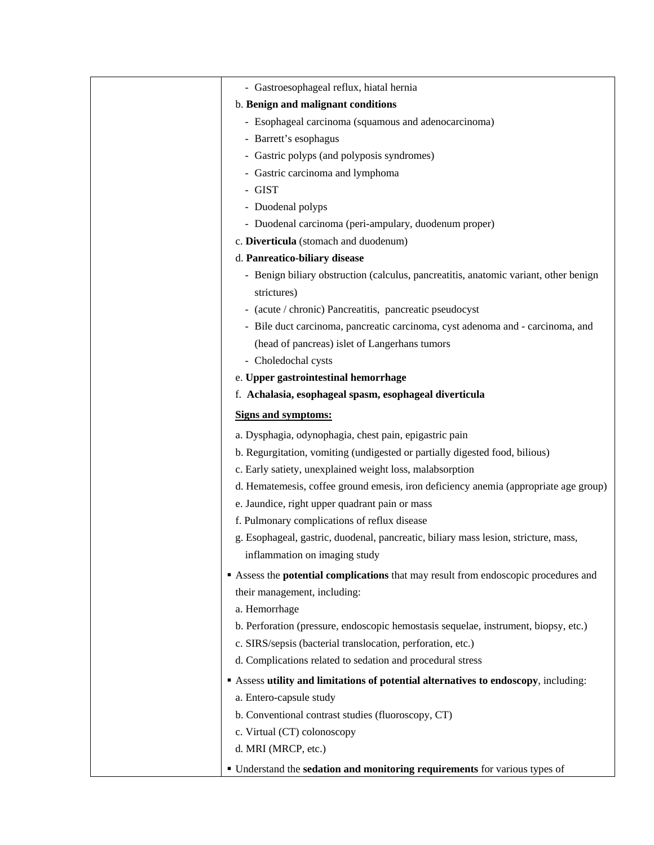| - Gastroesophageal reflux, hiatal hernia                                             |
|--------------------------------------------------------------------------------------|
| b. Benign and malignant conditions                                                   |
| - Esophageal carcinoma (squamous and adenocarcinoma)                                 |
| - Barrett's esophagus                                                                |
| - Gastric polyps (and polyposis syndromes)                                           |
| - Gastric carcinoma and lymphoma                                                     |
| - GIST                                                                               |
| - Duodenal polyps                                                                    |
| - Duodenal carcinoma (peri-ampulary, duodenum proper)                                |
| c. Diverticula (stomach and duodenum)                                                |
| d. Panreatico-biliary disease                                                        |
| - Benign biliary obstruction (calculus, pancreatitis, anatomic variant, other benign |
| strictures)                                                                          |
| - (acute / chronic) Pancreatitis, pancreatic pseudocyst                              |
| - Bile duct carcinoma, pancreatic carcinoma, cyst adenoma and - carcinoma, and       |
| (head of pancreas) islet of Langerhans tumors                                        |
| - Choledochal cysts                                                                  |
| e. Upper gastrointestinal hemorrhage                                                 |
| f. Achalasia, esophageal spasm, esophageal diverticula                               |
| <b>Signs and symptoms:</b>                                                           |
| a. Dysphagia, odynophagia, chest pain, epigastric pain                               |
| b. Regurgitation, vomiting (undigested or partially digested food, bilious)          |
| c. Early satiety, unexplained weight loss, malabsorption                             |
| d. Hematemesis, coffee ground emesis, iron deficiency anemia (appropriate age group) |
| e. Jaundice, right upper quadrant pain or mass                                       |
| f. Pulmonary complications of reflux disease                                         |
| g. Esophageal, gastric, duodenal, pancreatic, biliary mass lesion, stricture, mass,  |
| inflammation on imaging study                                                        |
| Assess the potential complications that may result from endoscopic procedures and    |
| their management, including:                                                         |
| a. Hemorrhage                                                                        |
| b. Perforation (pressure, endoscopic hemostasis sequelae, instrument, biopsy, etc.)  |
| c. SIRS/sepsis (bacterial translocation, perforation, etc.)                          |
| d. Complications related to sedation and procedural stress                           |
| Assess utility and limitations of potential alternatives to endoscopy, including:    |
| a. Entero-capsule study                                                              |
| b. Conventional contrast studies (fluoroscopy, CT)                                   |
| c. Virtual (CT) colonoscopy                                                          |
| d. MRI (MRCP, etc.)                                                                  |
| " Understand the sedation and monitoring requirements for various types of           |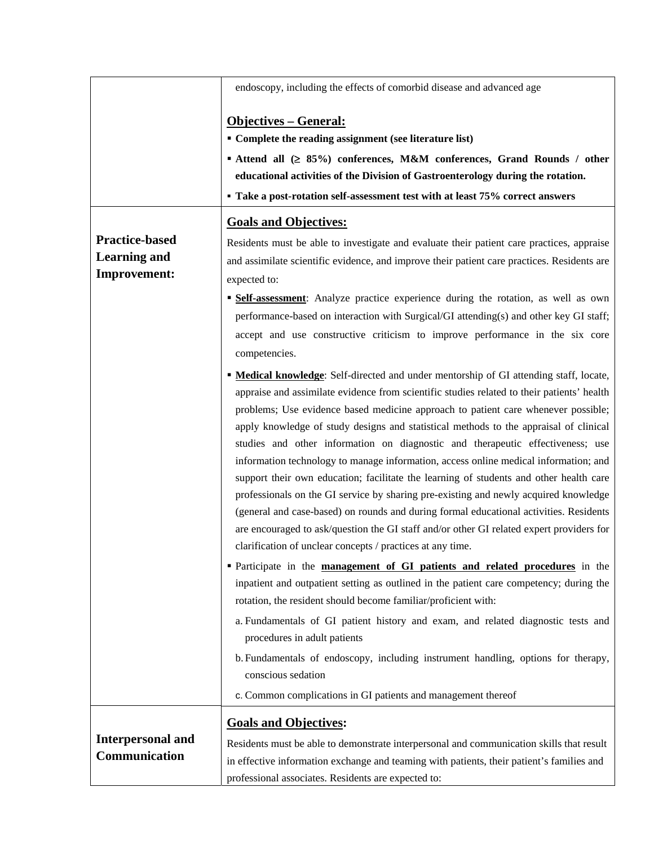|                                                                     | endoscopy, including the effects of comorbid disease and advanced age                                                                                                                                                                                                                                                                                                                                                                                                                                                                                                                                                                                                                                                                                                                                                                                                                    |
|---------------------------------------------------------------------|------------------------------------------------------------------------------------------------------------------------------------------------------------------------------------------------------------------------------------------------------------------------------------------------------------------------------------------------------------------------------------------------------------------------------------------------------------------------------------------------------------------------------------------------------------------------------------------------------------------------------------------------------------------------------------------------------------------------------------------------------------------------------------------------------------------------------------------------------------------------------------------|
| <b>Practice-based</b><br><b>Learning and</b><br><b>Improvement:</b> | <u> Objectives – General:</u><br>• Complete the reading assignment (see literature list)<br>■ Attend all (≥ 85%) conferences, M&M conferences, Grand Rounds / other<br>educational activities of the Division of Gastroenterology during the rotation.<br>• Take a post-rotation self-assessment test with at least 75% correct answers<br><b>Goals and Objectives:</b><br>Residents must be able to investigate and evaluate their patient care practices, appraise<br>and assimilate scientific evidence, and improve their patient care practices. Residents are<br>expected to:<br><b>Self-assessment:</b> Analyze practice experience during the rotation, as well as own<br>performance-based on interaction with Surgical/GI attending(s) and other key GI staff;                                                                                                                 |
|                                                                     | accept and use constructive criticism to improve performance in the six core<br>competencies.<br><b>• Medical knowledge:</b> Self-directed and under mentorship of GI attending staff, locate,                                                                                                                                                                                                                                                                                                                                                                                                                                                                                                                                                                                                                                                                                           |
|                                                                     | appraise and assimilate evidence from scientific studies related to their patients' health<br>problems; Use evidence based medicine approach to patient care whenever possible;<br>apply knowledge of study designs and statistical methods to the appraisal of clinical<br>studies and other information on diagnostic and therapeutic effectiveness; use<br>information technology to manage information, access online medical information; and<br>support their own education; facilitate the learning of students and other health care<br>professionals on the GI service by sharing pre-existing and newly acquired knowledge<br>(general and case-based) on rounds and during formal educational activities. Residents<br>are encouraged to ask/question the GI staff and/or other GI related expert providers for<br>clarification of unclear concepts / practices at any time. |
|                                                                     | <b>Participate in the management of GI patients and related procedures</b> in the<br>inpatient and outpatient setting as outlined in the patient care competency; during the<br>rotation, the resident should become familiar/proficient with:                                                                                                                                                                                                                                                                                                                                                                                                                                                                                                                                                                                                                                           |
|                                                                     | a. Fundamentals of GI patient history and exam, and related diagnostic tests and<br>procedures in adult patients                                                                                                                                                                                                                                                                                                                                                                                                                                                                                                                                                                                                                                                                                                                                                                         |
|                                                                     | b. Fundamentals of endoscopy, including instrument handling, options for therapy,<br>conscious sedation<br>c. Common complications in GI patients and management thereof                                                                                                                                                                                                                                                                                                                                                                                                                                                                                                                                                                                                                                                                                                                 |
|                                                                     |                                                                                                                                                                                                                                                                                                                                                                                                                                                                                                                                                                                                                                                                                                                                                                                                                                                                                          |
| <b>Interpersonal and</b><br>Communication                           | <b>Goals and Objectives:</b><br>Residents must be able to demonstrate interpersonal and communication skills that result<br>in effective information exchange and teaming with patients, their patient's families and<br>professional associates. Residents are expected to:                                                                                                                                                                                                                                                                                                                                                                                                                                                                                                                                                                                                             |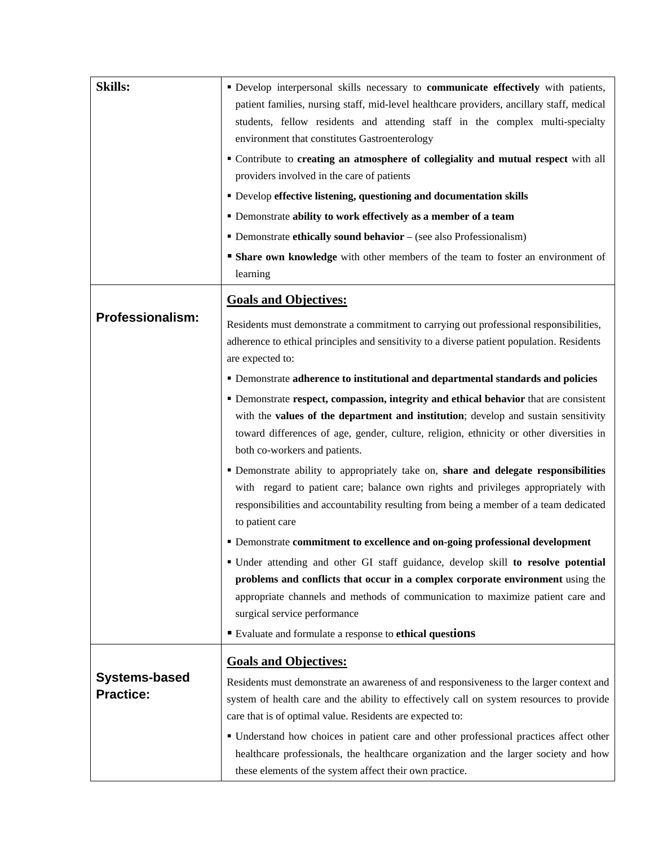| <b>Skills:</b>                    | " Develop interpersonal skills necessary to communicate effectively with patients,<br>patient families, nursing staff, mid-level healthcare providers, ancillary staff, medical<br>students, fellow residents and attending staff in the complex multi-specialty<br>environment that constitutes Gastroenterology<br>" Contribute to creating an atmosphere of collegiality and mutual respect with all<br>providers involved in the care of patients<br>• Develop effective listening, questioning and documentation skills<br>• Demonstrate ability to work effectively as a member of a team<br>• Demonstrate ethically sound behavior – (see also Professionalism)<br><b>Share own knowledge</b> with other members of the team to foster an environment of<br>learning |
|-----------------------------------|-----------------------------------------------------------------------------------------------------------------------------------------------------------------------------------------------------------------------------------------------------------------------------------------------------------------------------------------------------------------------------------------------------------------------------------------------------------------------------------------------------------------------------------------------------------------------------------------------------------------------------------------------------------------------------------------------------------------------------------------------------------------------------|
|                                   | <b>Goals and Objectives:</b>                                                                                                                                                                                                                                                                                                                                                                                                                                                                                                                                                                                                                                                                                                                                                |
| <b>Professionalism:</b>           | Residents must demonstrate a commitment to carrying out professional responsibilities,<br>adherence to ethical principles and sensitivity to a diverse patient population. Residents<br>are expected to:                                                                                                                                                                                                                                                                                                                                                                                                                                                                                                                                                                    |
|                                   | • Demonstrate adherence to institutional and departmental standards and policies                                                                                                                                                                                                                                                                                                                                                                                                                                                                                                                                                                                                                                                                                            |
|                                   | • Demonstrate respect, compassion, integrity and ethical behavior that are consistent                                                                                                                                                                                                                                                                                                                                                                                                                                                                                                                                                                                                                                                                                       |
|                                   | with the values of the department and institution; develop and sustain sensitivity<br>toward differences of age, gender, culture, religion, ethnicity or other diversities in<br>both co-workers and patients.                                                                                                                                                                                                                                                                                                                                                                                                                                                                                                                                                              |
|                                   | " Demonstrate ability to appropriately take on, share and delegate responsibilities<br>with regard to patient care; balance own rights and privileges appropriately with<br>responsibilities and accountability resulting from being a member of a team dedicated<br>to patient care                                                                                                                                                                                                                                                                                                                                                                                                                                                                                        |
|                                   | " Demonstrate commitment to excellence and on-going professional development                                                                                                                                                                                                                                                                                                                                                                                                                                                                                                                                                                                                                                                                                                |
|                                   | " Under attending and other GI staff guidance, develop skill to resolve potential<br>problems and conflicts that occur in a complex corporate environment using the<br>appropriate channels and methods of communication to maximize patient care and<br>surgical service performance                                                                                                                                                                                                                                                                                                                                                                                                                                                                                       |
|                                   | Evaluate and formulate a response to ethical questions                                                                                                                                                                                                                                                                                                                                                                                                                                                                                                                                                                                                                                                                                                                      |
|                                   | <b>Goals and Objectives:</b>                                                                                                                                                                                                                                                                                                                                                                                                                                                                                                                                                                                                                                                                                                                                                |
| Systems-based<br><b>Practice:</b> | Residents must demonstrate an awareness of and responsiveness to the larger context and<br>system of health care and the ability to effectively call on system resources to provide<br>care that is of optimal value. Residents are expected to:                                                                                                                                                                                                                                                                                                                                                                                                                                                                                                                            |
|                                   | • Understand how choices in patient care and other professional practices affect other                                                                                                                                                                                                                                                                                                                                                                                                                                                                                                                                                                                                                                                                                      |
|                                   | healthcare professionals, the healthcare organization and the larger society and how<br>these elements of the system affect their own practice.                                                                                                                                                                                                                                                                                                                                                                                                                                                                                                                                                                                                                             |